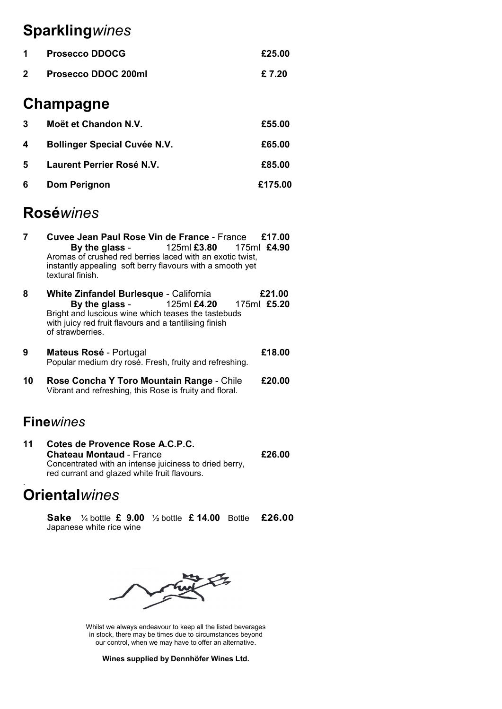# **Sparkling***wines*

| $\mathbf 1$ | <b>Prosecco DDOCG</b>      | £25.00 |
|-------------|----------------------------|--------|
| $2^{\circ}$ | <b>Prosecco DDOC 200ml</b> | £ 7.20 |

### **Champagne**

| 3  | Moët et Chandon N.V.                | £55.00  |
|----|-------------------------------------|---------|
| 4  | <b>Bollinger Special Cuvée N.V.</b> | £65.00  |
| 5. | Laurent Perrier Rosé N.V.           | £85.00  |
| 6  | Dom Perignon                        | £175.00 |

## **Rosé***wines*

- **7 Cuvee Jean Paul Rose Vin de France**  France **£17.00 By the glass** - 125ml **£3.80** 175ml **£4.90** Aromas of crushed red berries laced with an exotic twist, instantly appealing soft berry flavours with a smooth yet textural finish.
- **8 White Zinfandel Burlesque** California **£21.00 By the glass** - 125ml **£4.20** 175ml **£5.20** Bright and luscious wine which teases the tastebuds with juicy red fruit flavours and a tantilising finish of strawberries.
- **9 Mateus Rosé**  Portugal **£18.00** Popular medium dry rosé. Fresh, fruity and refreshing.
- **10 Rose Concha Y Toro Mountain Range**  Chile **£20.00** Vibrant and refreshing, this Rose is fruity and floral.

### **Fine***wines*

**11 Cotes de Provence Rose A.C.P.C. Chateau Montaud** - France **£26.00** Concentrated with an intense juiciness to dried berry, red currant and glazed white fruit flavours.

#### . **Oriental***wines*

¼ bottle **£ 9.00** ½ bottle **£ 14.00** Bottle £26.00 Japanese white rice wine



Whilst we always endeavour to keep all the listed beverages in stock, there may be times due to circumstances beyond our control, when we may have to offer an alternative.

**Wines supplied by Dennhöfer Wines Ltd.**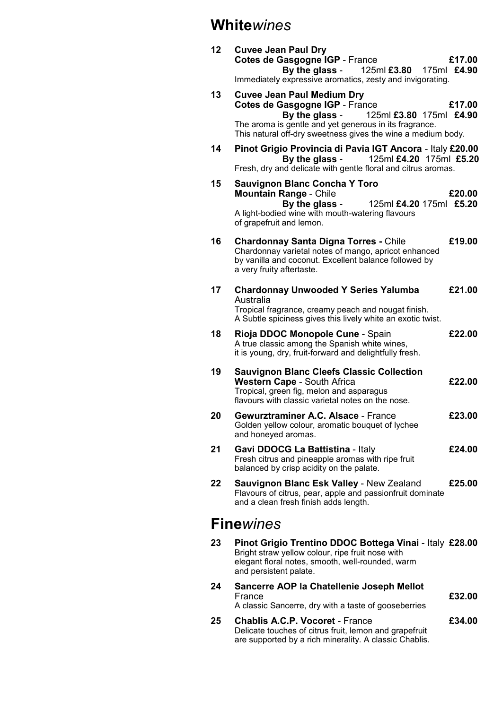### **White***wines*

| 12 | <b>Cuvee Jean Paul Dry</b><br>Cotes de Gasgogne IGP - France<br>£17.00<br>By the glass - $125$ ml £3.80 175ml £4.90<br>Immediately expressive aromatics, zesty and invigorating.                                                                     |  |
|----|------------------------------------------------------------------------------------------------------------------------------------------------------------------------------------------------------------------------------------------------------|--|
| 13 | <b>Cuvee Jean Paul Medium Dry</b><br>Cotes de Gasgogne IGP - France<br>£17.00<br>By the glass -<br>125ml £3.80 175ml £4.90<br>The aroma is gentle and yet generous in its fragrance.<br>This natural off-dry sweetness gives the wine a medium body. |  |
| 14 | Pinot Grigio Provincia di Pavia IGT Ancora - Italy £20.00<br>125ml £4.20 175ml £5.20<br>By the glass -<br>Fresh, dry and delicate with gentle floral and citrus aromas.                                                                              |  |
| 15 | <b>Sauvignon Blanc Concha Y Toro</b><br><b>Mountain Range - Chile</b><br>£20.00<br>By the glass -<br>125ml £4.20 175ml £5.20<br>A light-bodied wine with mouth-watering flavours<br>of grapefruit and lemon.                                         |  |
| 16 | <b>Chardonnay Santa Digna Torres - Chile</b><br>£19.00<br>Chardonnay varietal notes of mango, apricot enhanced<br>by vanilla and coconut. Excellent balance followed by<br>a very fruity aftertaste.                                                 |  |
| 17 | <b>Chardonnay Unwooded Y Series Yalumba</b><br>£21.00<br>Australia<br>Tropical fragrance, creamy peach and nougat finish.<br>A Subtle spiciness gives this lively white an exotic twist.                                                             |  |
| 18 | Rioja DDOC Monopole Cune - Spain<br>£22.00<br>A true classic among the Spanish white wines,<br>it is young, dry, fruit-forward and delightfully fresh.                                                                                               |  |
| 19 | <b>Sauvignon Blanc Cleefs Classic Collection</b><br><b>Western Cape - South Africa</b><br>£22.00<br>Tropical, green fig, melon and asparagus<br>flavours with classic varietal notes on the nose.                                                    |  |
| 20 | Gewurztraminer A.C. Alsace - France<br>£23.00<br>Golden yellow colour, aromatic bouquet of lychee<br>and honeyed aromas.                                                                                                                             |  |
| 21 | £24.00<br>Gavi DDOCG La Battistina - Italy<br>Fresh citrus and pineapple aromas with ripe fruit<br>balanced by crisp acidity on the palate.                                                                                                          |  |
| 22 | Sauvignon Blanc Esk Valley - New Zealand<br>£25.00<br>Flavours of citrus, pear, apple and passionfruit dominate<br>and a clean fresh finish adds length.                                                                                             |  |
|    | <b>Finewines</b>                                                                                                                                                                                                                                     |  |
| 23 | Pinot Grigio Trentino DDOC Bottega Vinai - Italy £28.00<br>Bright straw yellow colour, ripe fruit nose with<br>elegant floral notes, smooth, well-rounded, warm<br>and persistent palate.                                                            |  |
| 24 | Sancerre AOP la Chatellenie Joseph Mellot                                                                                                                                                                                                            |  |

France **£32.00** A classic Sancerre, dry with a taste of gooseberries 25 **Chablis A.C.P. Vocoret - France** *E34.00* Delicate touches of citrus fruit, lemon and grapefruit are supported by a rich minerality. A classic Chablis.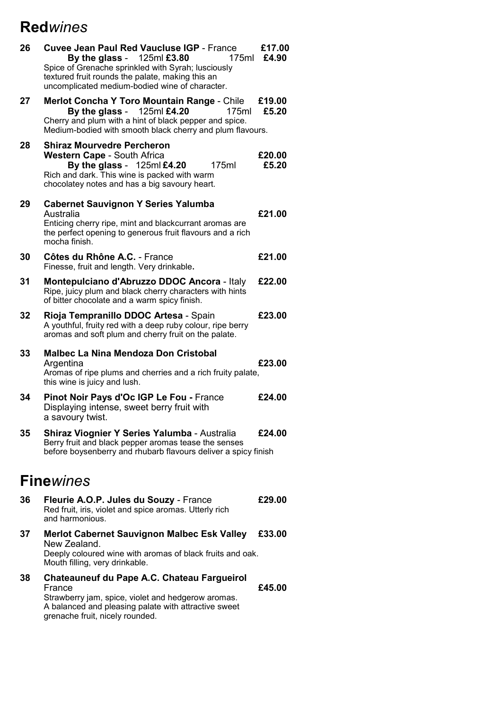# **Red***wines*

| 26 | <b>Cuvee Jean Paul Red Vaucluse IGP - France</b><br>By the glass - $125ml \, \text{\textsterling}3.80$<br>175ml<br>Spice of Grenache sprinkled with Syrah; lusciously<br>textured fruit rounds the palate, making this an<br>uncomplicated medium-bodied wine of character. | £17.00<br>£4.90 |
|----|-----------------------------------------------------------------------------------------------------------------------------------------------------------------------------------------------------------------------------------------------------------------------------|-----------------|
| 27 | <b>Merlot Concha Y Toro Mountain Range - Chile</b><br>By the glass - $125ml \, \text{£}4.20$<br>175ml<br>Cherry and plum with a hint of black pepper and spice.<br>Medium-bodied with smooth black cherry and plum flavours.                                                | £19.00<br>£5.20 |
| 28 | <b>Shiraz Mourvedre Percheron</b><br><b>Western Cape - South Africa</b><br>By the glass - $125$ ml £4.20<br>175ml<br>Rich and dark. This wine is packed with warm<br>chocolatey notes and has a big savoury heart.                                                          | £20.00<br>£5.20 |
| 29 | <b>Cabernet Sauvignon Y Series Yalumba</b><br>Australia<br>Enticing cherry ripe, mint and blackcurrant aromas are<br>the perfect opening to generous fruit flavours and a rich<br>mocha finish.                                                                             | £21.00          |
| 30 | Côtes du Rhône A.C. - France<br>Finesse, fruit and length. Very drinkable.                                                                                                                                                                                                  | £21.00          |
| 31 | Montepulciano d'Abruzzo DDOC Ancora - Italy<br>Ripe, juicy plum and black cherry characters with hints<br>of bitter chocolate and a warm spicy finish.                                                                                                                      | £22.00          |
| 32 | Rioja Tempranillo DDOC Artesa - Spain<br>A youthful, fruity red with a deep ruby colour, ripe berry<br>aromas and soft plum and cherry fruit on the palate.                                                                                                                 | £23.00          |
| 33 | <b>Malbec La Nina Mendoza Don Cristobal</b><br>Argentina<br>Aromas of ripe plums and cherries and a rich fruity palate,<br>this wine is juicy and lush.                                                                                                                     | £23.00          |
| 34 | Pinot Noir Pays d'Oc IGP Le Fou - France<br>Displaying intense, sweet berry fruit with<br>a savoury twist.                                                                                                                                                                  | £24.00          |
| 35 | Shiraz Viognier Y Series Yalumba - Australia<br>Berry fruit and black pepper aromas tease the senses<br>before boysenberry and rhubarb flavours deliver a spicy finish                                                                                                      | £24.00          |
|    | <b>Fine</b> wines                                                                                                                                                                                                                                                           |                 |
| 36 | Fleurie A.O.P. Jules du Souzy - France<br>Red fruit, iris, violet and spice aromas. Utterly rich<br>and harmonious.                                                                                                                                                         | £29.00          |
| 37 | <b>Merlot Cabernet Sauvignon Malbec Esk Valley</b><br>New Zealand.<br>Deeply coloured wine with aromas of black fruits and oak.<br>Mouth filling, very drinkable.                                                                                                           | £33.00          |
| 38 | <b>Chateauneuf du Pape A.C. Chateau Fargueirol</b><br>France<br>Strawberry jam, spice, violet and hedgerow aromas.                                                                                                                                                          | £45.00          |

A balanced and pleasing palate with attractive sweet

grenache fruit, nicely rounded.